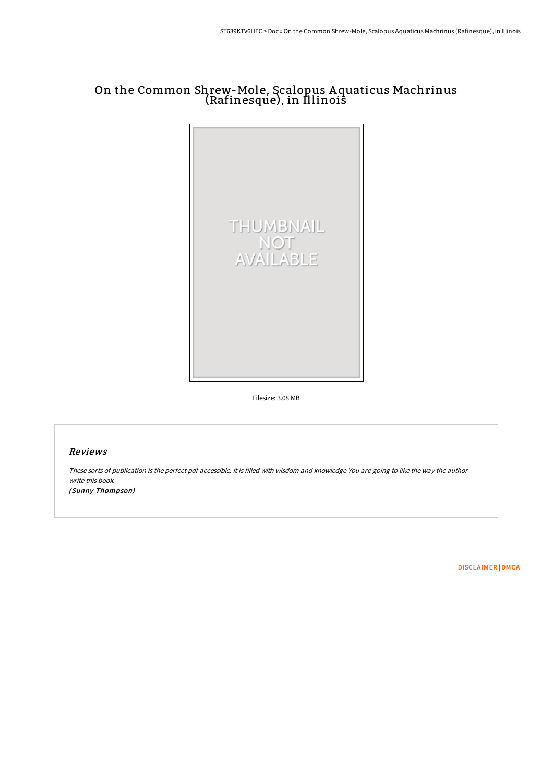# On the Common Shrew-Mole, Scalopus A quaticus Machrinus (Rafinesque), in Illinois



Filesize: 3.08 MB

## Reviews

These sorts of publication is the perfect pdf accessible. It is filled with wisdom and knowledge You are going to like the way the author write this book. (Sunny Thompson)

[DISCLAIMER](http://albedo.media/disclaimer.html) | [DMCA](http://albedo.media/dmca.html)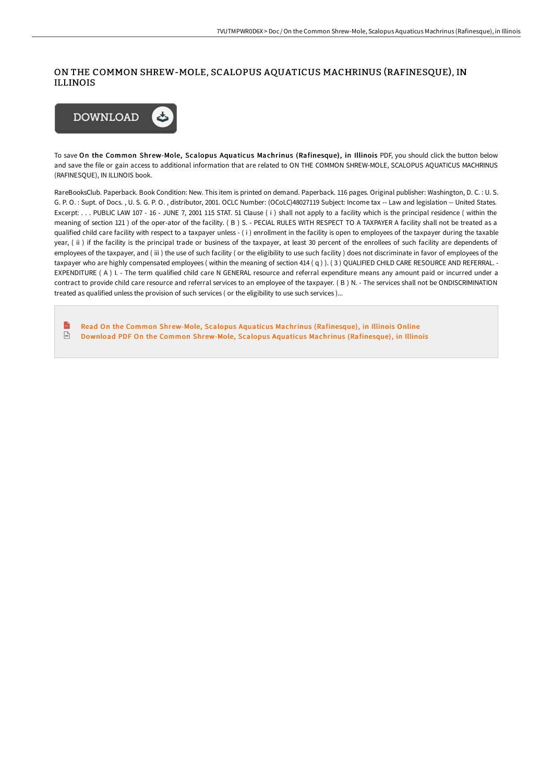### ON THE COMMON SHREW-MOLE, SCALOPUS AQUATICUS MACHRINUS (RAFINESQUE), IN ILLINOIS



To save On the Common Shrew-Mole, Scalopus Aquaticus Machrinus (Rafinesque), in Illinois PDF, you should click the button below and save the file or gain access to additional information that are related to ON THE COMMON SHREW-MOLE, SCALOPUS AQUATICUS MACHRINUS (RAFINESQUE), IN ILLINOIS book.

RareBooksClub. Paperback. Book Condition: New. This item is printed on demand. Paperback. 116 pages. Original publisher: Washington, D. C. : U. S. G. P. O. : Supt. of Docs. , U. S. G. P. O. , distributor, 2001. OCLC Number: (OCoLC)48027119 Subject: Income tax -- Law and legislation -- United States. Excerpt: . . . PUBLIC LAW 107 - 16 - JUNE 7, 2001 115 STAT. 51 Clause ( i ) shall not apply to a facility which is the principal residence ( within the meaning of section 121 ) of the oper-ator of the facility. ( B ) S. - PECIAL RULES WITH RESPECT TO A TAXPAYER A facility shall not be treated as a qualified child care facility with respect to a taxpayer unless - ( i ) enrollment in the facility is open to employees of the taxpayer during the taxable year, (ii) if the facility is the principal trade or business of the taxpayer, at least 30 percent of the enrollees of such facility are dependents of employees of the taxpayer, and (iii) the use of such facility (or the eligibility to use such facility) does not discriminate in favor of employees of the taxpayer who are highly compensated employees (within the meaning of section 414 (q)). (3) QUALIFIED CHILD CARE RESOURCE AND REFERRAL. -EXPENDITURE ( A ) I. - The term qualified child care N GENERAL resource and referral expenditure means any amount paid or incurred under a contract to provide child care resource and referral services to an employee of the taxpayer. ( B ) N. - The services shall not be ONDISCRIMINATION treated as qualified unless the provision of such services ( or the eligibility to use such services )...

Read On the Common Shrew-Mole, Scalopus Aquaticus Machrinus [\(Rafinesque\),](http://albedo.media/on-the-common-shrew-mole-scalopus-aquaticus-mach.html) in Illinois Online  $\frac{1}{16}$ Download PDF On the Common Shrew-Mole, Scalopus Aquaticus Machrinus [\(Rafinesque\),](http://albedo.media/on-the-common-shrew-mole-scalopus-aquaticus-mach.html) in Illinois